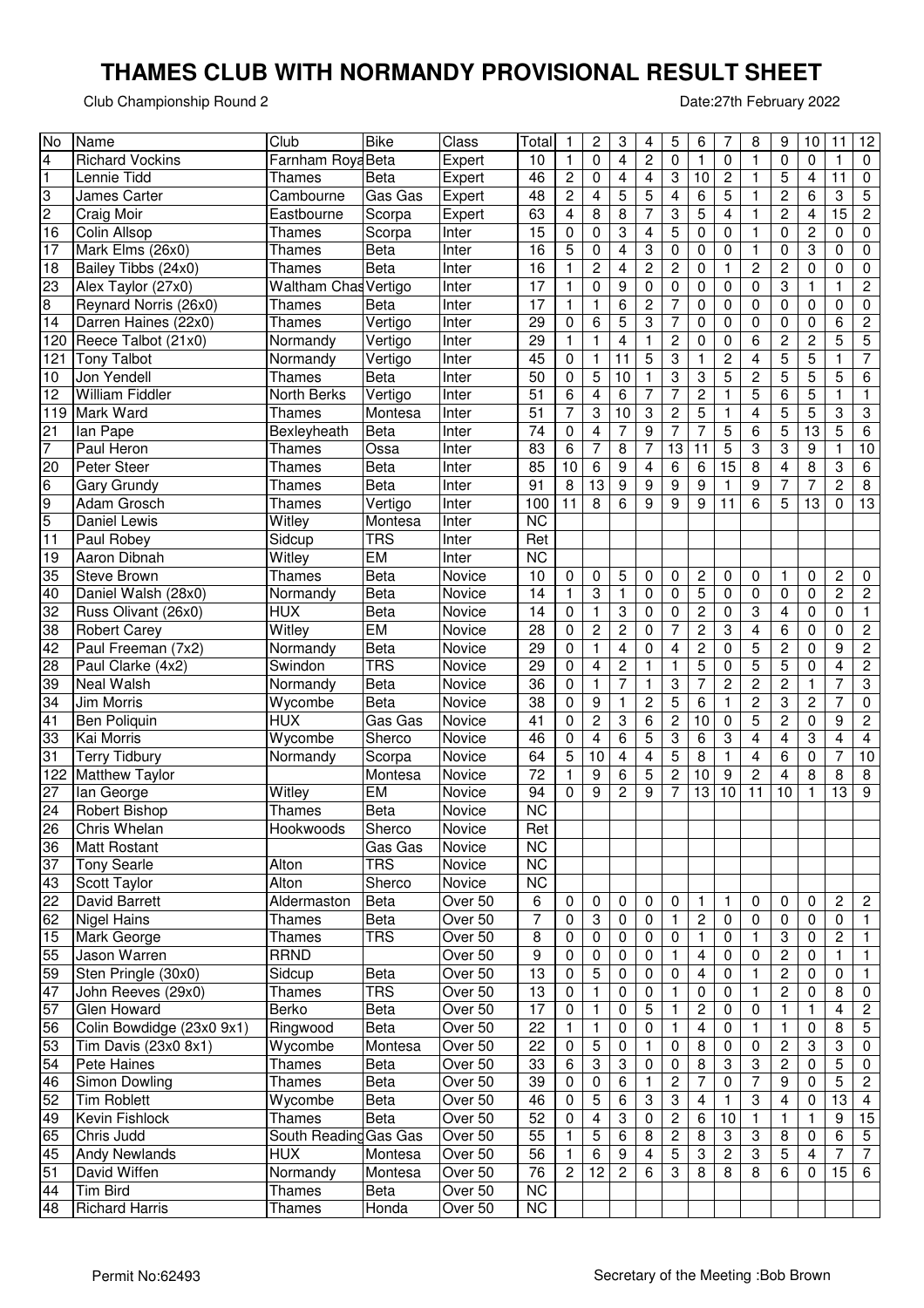## **THAMES CLUB WITH NORMANDY PROVISIONAL RESULT SHEET**

Club Championship Round 2

Date:27th February 2022

| No             | Name                      | Club                        | <b>Bike</b> | Class   | Total           | 1                       | 2               | 3                                | 4                         | 5                         | 6                       | 7                         | 8              | 9                       | 10                      | 11                      | 12                      |
|----------------|---------------------------|-----------------------------|-------------|---------|-----------------|-------------------------|-----------------|----------------------------------|---------------------------|---------------------------|-------------------------|---------------------------|----------------|-------------------------|-------------------------|-------------------------|-------------------------|
| 4              | <b>Richard Vockins</b>    | Farnham Roya Beta           |             | Expert  | 10              | 1                       | 0               | 4                                | 2                         | 0                         | 1                       | 0                         | 1              | 0                       | 0                       | 1                       | 0                       |
| 1              | Lennie Tidd               | Thames                      | <b>Beta</b> | Expert  | 46              | $\overline{\mathbf{c}}$ | 0               | 4                                | 4                         | 3                         | 10                      | 2                         | 1              | 5                       | 4                       | 11                      | 0                       |
| 3              | James Carter              | Cambourne                   | Gas Gas     | Expert  | 48              | $\boldsymbol{2}$        | 4               | 5                                | 5                         | $\overline{\mathbf{4}}$   | 6                       | 5                         | 1              | $\overline{\mathbf{c}}$ | 6                       | 3                       | 5                       |
| 2              | Craig Moir                | Eastbourne                  | Scorpa      | Expert  | 63              | $\overline{\mathbf{4}}$ | 8               | 8                                | 7                         | 3                         | 5                       | $\overline{\mathbf{4}}$   | 1              | $\overline{\mathbf{c}}$ | 4                       | $\overline{15}$         | $\boldsymbol{2}$        |
| 16             | Colin Allsop              | Thames                      | Scorpa      | Inter   | 15              | 0                       | 0               | 3                                | $\overline{\mathbf{4}}$   | 5                         | 0                       | $\pmb{0}$                 | $\mathbf{1}$   | 0                       | $\overline{\mathbf{c}}$ | 0                       | 0                       |
| 17             | Mark Elms (26x0)          | <b>Thames</b>               | Beta        | Inter   | 16              | 5                       | 0               | $\overline{\mathbf{4}}$          | 3                         | 0                         | 0                       | $\pmb{0}$                 | $\mathbf{1}$   | 0                       | 3                       | 0                       | 0                       |
| 18             | Bailey Tibbs (24x0)       | <b>Thames</b>               | <b>Beta</b> | Inter   | 16              | 1                       | $\overline{c}$  | 4                                | $\overline{c}$            | $\overline{c}$            | 0                       | $\mathbf{1}$              | $\overline{c}$ | $\overline{\mathbf{c}}$ | 0                       | $\mathbf 0$             | 0                       |
| 23             | Alex Taylor (27x0)        | <b>Waltham Chas Vertigo</b> |             | Inter   | 17              | $\mathbf{1}$            | 0               | 9                                | 0                         | 0                         | 0                       | $\mathbf 0$               | 0              | 3                       | 1                       | 1                       | $\overline{\mathbf{c}}$ |
| 8              | Reynard Norris (26x0)     | Thames                      | <b>Beta</b> | Inter   | 17              | 1                       | 1               | 6                                | $\overline{c}$            | $\overline{7}$            | 0                       | $\pmb{0}$                 | 0              | 0                       | 0                       | 0                       | 0                       |
| 14             | Darren Haines (22x0)      | Thames                      | Vertigo     | Inter   | 29              | 0                       | 6               | 5                                | 3                         | $\overline{7}$            | $\mathbf 0$             | $\mathbf 0$               | $\mathbf 0$    | 0                       | $\mathbf 0$             | 6                       | $\overline{c}$          |
| 120            | Reece Talbot (21x0)       | Normandy                    | Vertigo     | Inter   | 29              | 1                       | 1               | 4                                | $\mathbf{1}$              | $\overline{\mathbf{c}}$   | 0                       | $\pmb{0}$                 | 6              | $\overline{\mathbf{c}}$ | $\overline{c}$          | 5                       | 5                       |
| 121            | <b>Tony Talbot</b>        | Normandy                    | Vertigo     | Inter   | 45              | 0                       | $\mathbf{1}$    | 11                               | 5                         | $\ensuremath{\mathsf{3}}$ | 1                       | $\overline{c}$            | 4              | 5                       | 5                       | 1                       | $\overline{7}$          |
|                | Jon Yendell               |                             |             |         | 50              |                         | 5               | 10                               |                           | 3                         | 3                       | 5                         |                | 5                       | 5                       | 5                       |                         |
| 10             |                           | <b>Thames</b>               | <b>Beta</b> | Inter   |                 | 0                       |                 |                                  | 1                         |                           |                         |                           | $\overline{c}$ |                         |                         |                         | 6                       |
| 12             | <b>William Fiddler</b>    | North Berks                 | Vertigo     | Inter   | 51              | 6                       | 4               | 6                                | 7                         | 7                         | $\overline{c}$          | $\mathbf{1}$              | 5              | 6                       | 5                       | $\mathbf{1}$            | 1                       |
| 119            | Mark Ward                 | <b>Thames</b>               | Montesa     | Inter   | 51              | 7                       | 3               | 10                               | 3                         | $\overline{c}$            | 5                       | $\mathbf{1}$              | 4              | 5                       | 5                       | 3                       | 3                       |
| 21             | lan Pape                  | Bexleyheath                 | <b>Beta</b> | Inter   | 74              | 0                       | 4               | 7                                | 9                         | $\overline{7}$            | 7                       | 5                         | 6              | 5                       | 13                      | 5                       | 6                       |
| $\overline{7}$ | Paul Heron                | <b>Thames</b>               | Ossa        | Inter   | 83              | 6                       | 7               | 8                                | 7                         | 13                        | 11                      | 5                         | 3              | 3                       | 9                       | 1                       | 10                      |
| 20             | Peter Steer               | Thames                      | <b>Beta</b> | Inter   | 85              | 10                      | 6               | 9                                | 4                         | 6                         | 6                       | 15                        | 8              | 4                       | 8                       | 3                       | 6                       |
| 6              | <b>Gary Grundy</b>        | <b>Thames</b>               | <b>Beta</b> | Inter   | 91              | 8                       | $\overline{13}$ | 9                                | 9                         | 9                         | 9                       | 1                         | 9              | 7                       | 7                       | $\overline{\mathbf{c}}$ | 8                       |
| 9              | Adam Grosch               | Thames                      | Vertigo     | Inter   | 100             | 11                      | 8               | 6                                | 9                         | 9                         | 9                       | 11                        | 6              | 5                       | 13                      | 0                       | 13                      |
| 5              | <b>Daniel Lewis</b>       | Witley                      | Montesa     | Inter   | $\overline{NC}$ |                         |                 |                                  |                           |                           |                         |                           |                |                         |                         |                         |                         |
| 11             | Paul Robey                | Sidcup                      | <b>TRS</b>  | Inter   | Ret             |                         |                 |                                  |                           |                           |                         |                           |                |                         |                         |                         |                         |
| 19             | Aaron Dibnah              | Witley                      | <b>EM</b>   | Inter   | <b>NC</b>       |                         |                 |                                  |                           |                           |                         |                           |                |                         |                         |                         |                         |
| 35             | <b>Steve Brown</b>        | <b>Thames</b>               | <b>Beta</b> | Novice  | 10              | 0                       | 0               | 5                                | 0                         | $\mathbf 0$               | $\overline{\mathbf{c}}$ | 0                         | 0              | 1                       | 0                       | $\overline{\mathbf{c}}$ | 0                       |
| 40             | Daniel Walsh (28x0)       | Normandy                    | <b>Beta</b> | Novice  | 14              | 1                       | 3               | $\mathbf{1}$                     | 0                         | $\pmb{0}$                 | 5                       | $\pmb{0}$                 | $\mathbf 0$    | 0                       | 0                       | $\overline{2}$          | $\overline{c}$          |
| 32             | Russ Olivant (26x0)       | <b>HUX</b>                  | <b>Beta</b> | Novice  | 14              | 0                       | 1               | 3                                | 0                         | 0                         | $\overline{c}$          | 0                         | 3              | 4                       | 0                       | 0                       | 1                       |
| 38             | <b>Robert Carey</b>       | Witley                      | <b>EM</b>   | Novice  | 28              | 0                       | $\overline{c}$  | $\overline{c}$                   | 0                         | $\overline{7}$            | $\overline{c}$          | 3                         | 4              | 6                       | $\mathbf 0$             | 0                       | $\overline{\mathbf{c}}$ |
| 42             | Paul Freeman (7x2)        | Normandy                    | <b>Beta</b> | Novice  | 29              | 0                       | $\mathbf{1}$    | 4                                | 0                         | 4                         | $\overline{c}$          | $\pmb{0}$                 | 5              | $\overline{\mathbf{c}}$ | $\mathbf 0$             | 9                       | 2                       |
| 28             |                           | Swindon                     | <b>TRS</b>  | Novice  | 29              | 0                       | 4               |                                  | 1                         | $\mathbf{1}$              | 5                       | 0                         | 5              | 5                       | 0                       | 4                       |                         |
|                | Paul Clarke (4x2)         |                             |             |         |                 |                         |                 | $\overline{c}$<br>$\overline{7}$ |                           |                           |                         |                           |                |                         |                         | $\overline{7}$          | 2                       |
| 39             | Neal Walsh                | Normandy                    | <b>Beta</b> | Novice  | 36              | 0                       | 1               |                                  | 1                         | 3                         | 7                       | $\overline{c}$            | $\overline{c}$ | 2                       | 1                       |                         | 3                       |
| 34             | Jim Morris                | Wycombe                     | <b>Beta</b> | Novice  | 38              | 0                       | 9               | $\mathbf{1}$                     | $\overline{\mathbf{c}}$   | 5                         | 6                       | 1                         | $\overline{c}$ | 3                       | $\overline{\mathbf{c}}$ | 7                       | 0                       |
| 41             | Ben Poliquin              | <b>HUX</b>                  | Gas Gas     | Novice  | 41              | 0                       | $\overline{c}$  | 3                                | 6                         | $\overline{c}$            | 10                      | $\pmb{0}$                 | 5              | 2                       | 0                       | 9                       | $\overline{c}$          |
| 33             | Kai Morris                | Wycombe                     | Sherco      | Novice  | 46              | 0                       | 4               | 6                                | 5                         | 3                         | 6                       | 3                         | 4              | 4                       | 3                       | 4                       | 4                       |
| 31             | <b>Terry Tidbury</b>      | Normandy                    | Scorpa      | Novice  | 64              | 5                       | 10              | 4                                | 4                         | 5                         | 8                       | 1                         | 4              | 6                       | 0                       | 7                       | 10                      |
| 122            | <b>Matthew Taylor</b>     |                             | Montesa     | Novice  | 72              | 1                       | 9               | 6                                | 5                         | $\overline{c}$            | 10                      | 9                         | $\overline{c}$ | 4                       | 8                       | 8                       | 8                       |
| 27             | lan George                | Witley                      | EM          | Novice  | 94              | 0                       | 9               | $\overline{c}$                   | 9                         | 7                         | 13                      | 10                        | 11             | 10                      | 1                       | 13                      | 9                       |
| 24             | Robert Bishop             | Thames                      | <b>Beta</b> | Novice  | <b>NC</b>       |                         |                 |                                  |                           |                           |                         |                           |                |                         |                         |                         |                         |
| 26             | Chris Whelan              | Hookwoods                   | Sherco      | Novice  | Ret             |                         |                 |                                  |                           |                           |                         |                           |                |                         |                         |                         |                         |
| 36             | Matt Rostant              |                             | Gas Gas     | Novice  | <b>NC</b>       |                         |                 |                                  |                           |                           |                         |                           |                |                         |                         |                         |                         |
| 37             | <b>Tony Searle</b>        | Alton                       | <b>TRS</b>  | Novice  | <b>NC</b>       |                         |                 |                                  |                           |                           |                         |                           |                |                         |                         |                         |                         |
| 43             | Scott Taylor              | Alton                       | Sherco      | Novice  | <b>NC</b>       |                         |                 |                                  |                           |                           |                         |                           |                |                         |                         |                         |                         |
| 22             | David Barrett             | Aldermaston                 | <b>Beta</b> | Over 50 | 6               | 0                       | 0               | 0                                | 0                         | $\mathbf 0$               | 1                       | 1                         | 0              | 0                       | 0                       | 2                       | 2                       |
| 62             | <b>Nigel Hains</b>        | <b>Thames</b>               | <b>Beta</b> | Over 50 | 7               | 0                       | 3               | 0                                | 0                         | $\mathbf{1}$              | $\overline{\mathbf{c}}$ | $\pmb{0}$                 | 0              | $\pmb{0}$               | 0                       | $\pmb{0}$               | 1                       |
| 15             | Mark George               | <b>Thames</b>               | <b>TRS</b>  | Over 50 | 8               | 0                       | 0               | 0                                | 0                         | $\pmb{0}$                 | 1                       | 0                         | 1              | 3                       | 0                       | $\boldsymbol{2}$        | 1                       |
| 55             | Jason Warren              | <b>RRND</b>                 |             | Over 50 | 9               | 0                       | 0               | 0                                | 0                         | 1                         | 4                       | 0                         | 0              | $\boldsymbol{2}$        | 0                       | $\mathbf{1}$            | 1                       |
| 59             | Sten Pringle (30x0)       | Sidcup                      | Beta        | Over 50 | 13              | 0                       | 5               | 0                                | 0                         | 0                         | $\overline{\mathbf{4}}$ | 0                         | 1              | $\overline{c}$          | 0                       | $\pmb{0}$               | 1                       |
| 47             | John Reeves (29x0)        | <b>Thames</b>               | <b>TRS</b>  | Over 50 | 13              | 0                       | 1               | 0                                | 0                         | 1                         | 0                       | 0                         | 1              | $\boldsymbol{2}$        | 0                       | 8                       | 0                       |
|                |                           | Berko                       |             | Over 50 |                 |                         |                 |                                  |                           |                           |                         |                           |                |                         |                         |                         |                         |
| 57             | Glen Howard               |                             | <b>Beta</b> |         | 17              | 0                       | 1               | 0                                | 5                         | 1                         | $\overline{\mathbf{c}}$ | 0                         | 0              | 1                       | $\mathbf{1}$            | 4                       | 2                       |
| 56             | Colin Bowdidge (23x0 9x1) | Ringwood                    | <b>Beta</b> | Over 50 | 22              | $\mathbf{1}$            | 1               | 0                                | $\pmb{0}$                 | 1                         | $\overline{\mathbf{4}}$ | 0                         | 1              | 1                       | 0                       | 8                       | 5                       |
| 53             | Tim Davis (23x0 8x1)      | Wycombe                     | Montesa     | Over 50 | 22              | 0                       | 5               | $\pmb{0}$                        | 1                         | 0                         | 8                       | 0                         | 0              | 2                       | 3                       | 3                       | 0                       |
| 54             | Pete Haines               | <b>Thames</b>               | Beta        | Over 50 | 33              | 6                       | 3               | 3                                | 0                         | $\mathbf 0$               | 8                       | $\ensuremath{\mathsf{3}}$ | 3              | 2                       | 0                       | 5                       | 0                       |
| 46             | Simon Dowling             | <b>Thames</b>               | Beta        | Over 50 | 39              | 0                       | 0               | 6                                | 1                         | $\overline{\mathbf{c}}$   | 7                       | 0                         | 7              | 9                       | 0                       | 5                       | 2                       |
| 52             | <b>Tim Roblett</b>        | Wycombe                     | Beta        | Over 50 | 46              | 0                       | 5               | 6                                | $\ensuremath{\mathsf{3}}$ | 3                         | $\overline{\mathbf{4}}$ | 1                         | 3              | 4                       | 0                       | 13                      | 4                       |
| 49             | Kevin Fishlock            | <b>Thames</b>               | Beta        | Over 50 | 52              | 0                       | 4               | 3                                | 0                         | $\overline{\mathbf{c}}$   | 6                       | 10                        | 1              | 1                       | 1                       | 9                       | 15                      |
| 65             | Chris Judd                | South Reading Gas Gas       |             | Over 50 | 55              | 1                       | 5               | 6                                | 8                         | $\overline{c}$            | 8                       | 3                         | 3              | 8                       | 0                       | 6                       | 5                       |
| 45             | <b>Andy Newlands</b>      | <b>HUX</b>                  | Montesa     | Over 50 | 56              | 1                       | 6               | 9                                | $\overline{4}$            | $\sqrt{5}$                | 3                       | $\sqrt{2}$                | 3              | 5                       | 4                       | 7                       | $\overline{7}$          |
| 51             | David Wiffen              | Normandy                    | Montesa     | Over 50 | 76              | $\overline{2}$          | 12              | $\overline{c}$                   | 6                         | 3                         | 8                       | 8                         | 8              | 6                       | 0                       | 15                      | 6                       |
| 44             | <b>Tim Bird</b>           | <b>Thames</b>               | Beta        | Over 50 | NC              |                         |                 |                                  |                           |                           |                         |                           |                |                         |                         |                         |                         |
| 48             | <b>Richard Harris</b>     | <b>Thames</b>               | Honda       | Over 50 | NC              |                         |                 |                                  |                           |                           |                         |                           |                |                         |                         |                         |                         |